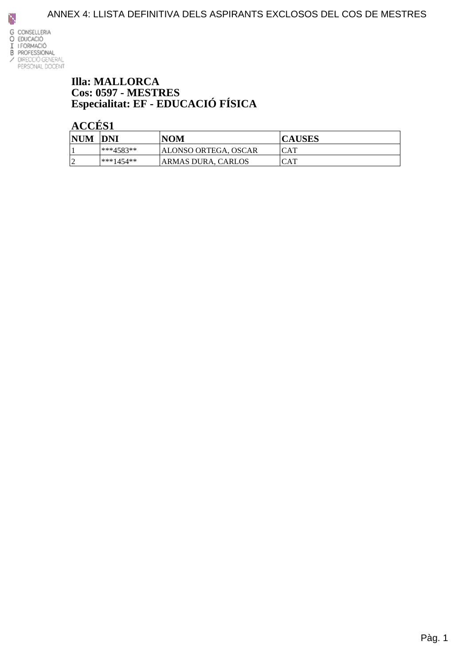

#### **Illa: MALLORCA Cos: 0597 - MESTRES** Especialitat: EF - EDUCACIÓ FÍSICA

| <b>NUM</b>               | <b>DNI</b> | NOM                  | <b>CAUSES</b> |
|--------------------------|------------|----------------------|---------------|
|                          | ***4583**  | ALONSO ORTEGA, OSCAR | ICAT          |
| $\overline{\phantom{a}}$ | ***1454**  | ARMAS DURA. CARLOS   | <b>ICAT</b>   |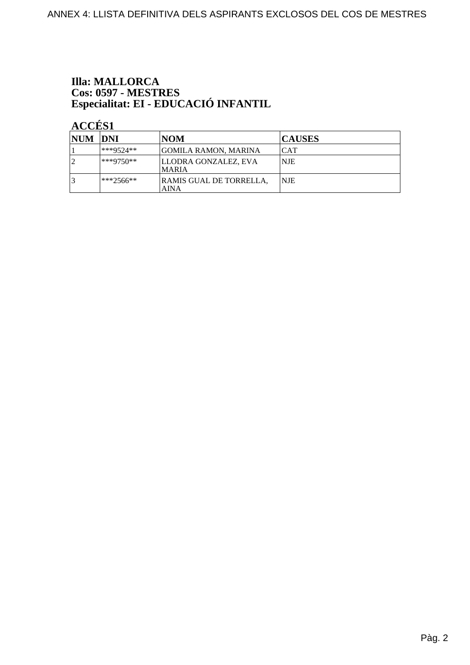# **Illa: MALLORCA** Cos: 0597 - MESTRES<br>Especialitat: EI - EDUCACIÓ INFANTIL

| <b>NUM</b> | <b>IDNI</b>  | NOM                                    | <b>CAUSES</b> |
|------------|--------------|----------------------------------------|---------------|
|            | ***9524**    | GOMILA RAMON, MARINA                   | ICAT          |
|            | $ ***9750**$ | LLODRA GONZALEZ, EVA<br><b>MARIA</b>   | NJE           |
|            | $**2566**$   | RAMIS GUAL DE TORRELLA.<br><b>AINA</b> | <b>NJE</b>    |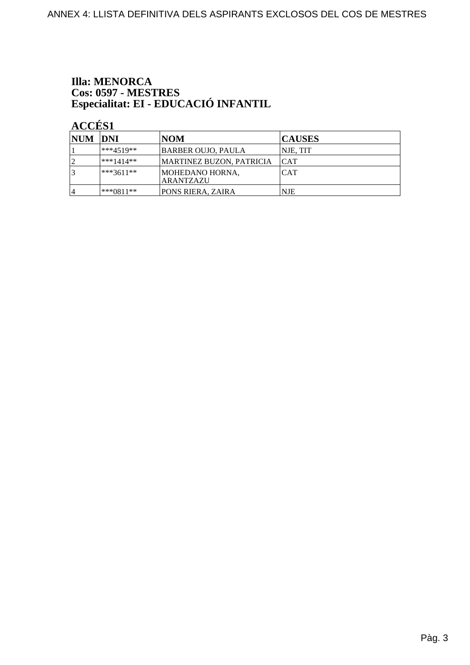# **Illa: MENORCA** Cos: 0597 - MESTRES<br>Especialitat: EI - EDUCACIÓ INFANTIL

| NUM DNI        |               | NOM                                 | <b>CAUSES</b> |
|----------------|---------------|-------------------------------------|---------------|
|                | ***4519**     | BARBER OUJO, PAULA                  | NJE, TIT      |
|                | ***1414**     | MARTINEZ BUZON, PATRICIA            | ICAT          |
| 3              | $ ***3611***$ | MOHEDANO HORNA,<br><b>ARANTZAZU</b> | <b>CAT</b>    |
| $\overline{4}$ | $ ***0811**$  | PONS RIERA, ZAIRA                   | <b>NJE</b>    |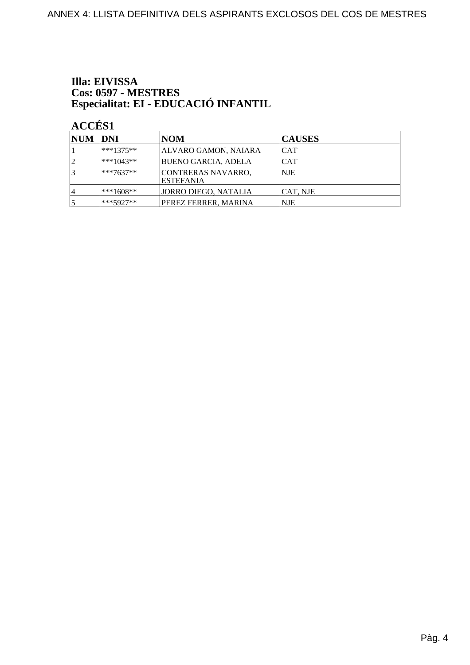# Illa: EIVISSA Cos: 0597 - MESTRES<br>Especialitat: EI - EDUCACIÓ INFANTIL

| NUM DNI |             | <b>NOM</b>                                     | <b>CAUSES</b> |
|---------|-------------|------------------------------------------------|---------------|
|         | $***1375**$ | ALVARO GAMON, NAIARA                           | ICAT          |
| 2       | $***1043**$ | BUENO GARCIA, ADELA                            | <b>CAT</b>    |
| 13      | $***7637**$ | <b>CONTRERAS NAVARRO,</b><br><b>IESTEFANIA</b> | NJE           |
| 14      | $***1608**$ | JORRO DIEGO, NATALIA                           | ICAT, NJE     |
| 15      | $***5927**$ | PEREZ FERRER, MARINA                           | NJE           |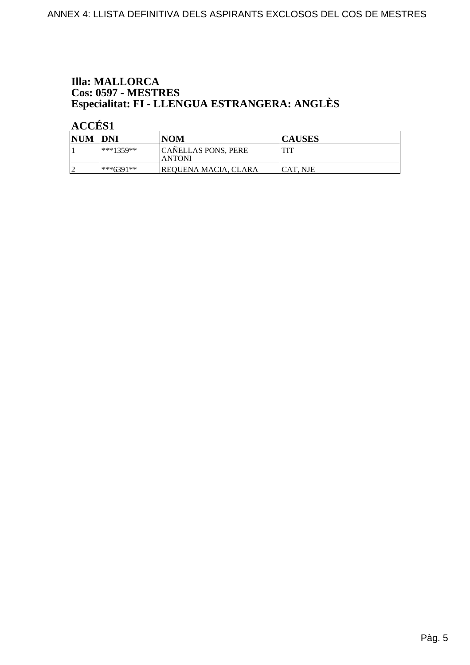### **Illa: MALLORCA Cos: 0597 - MESTRES<br>Especialitat: FI - LLENGUA ESTRANGERA: ANGLÈS**

| NUM DNI    |             | <b>NOM</b>                                   | <b>CAUSES</b>   |
|------------|-------------|----------------------------------------------|-----------------|
|            | $***1359**$ | <b>CANELLAS PONS, PERE</b><br><b> ANTONI</b> | TIT             |
| $\sqrt{ }$ | ***6391**   | <b>REQUENA MACIA, CLARA</b>                  | <b>CAT. NJE</b> |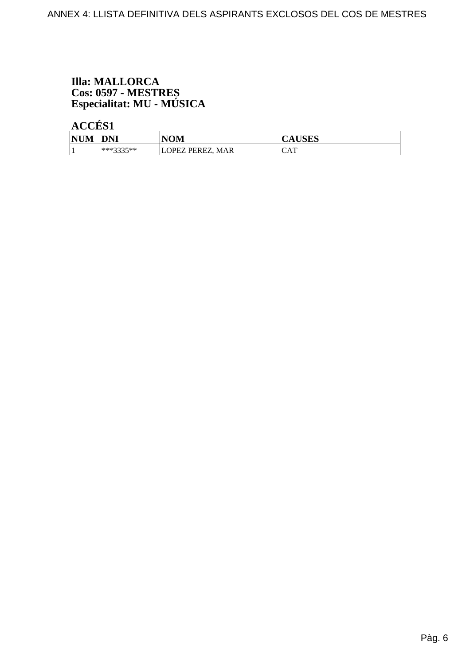# **Illa: MALLORCA** Cos: 0597 - MESTRES<br>Especialitat: MU - MÚSICA

| <b>NUM</b><br> NUM | <b>DNI</b> | <b>NOM</b> | $\mathbf{r}\mathbf{r}\cap\mathbf{r}\cap\mathbf{r}$<br>AUDLO |
|--------------------|------------|------------|-------------------------------------------------------------|
|                    | ***2225**  | OPEZ PEREZ | $\sqrt{2}$                                                  |
|                    | ----       | <b>MAR</b> | UA 1                                                        |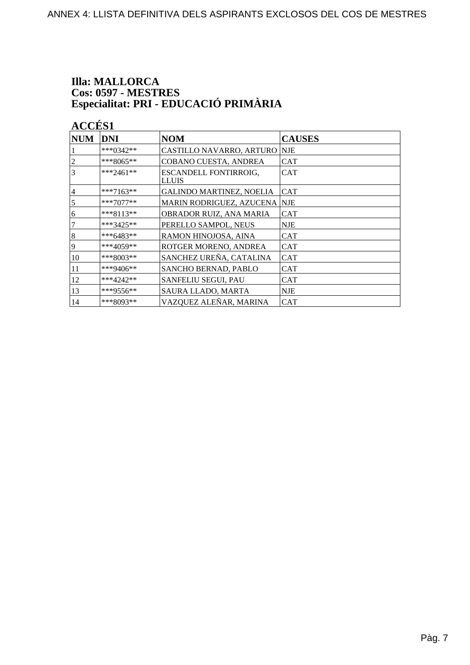# **Illa: MALLORCA** Cos: 0597 - MESTRES<br>Especialitat: PRI - EDUCACIÓ PRIMÀRIA

| <b>NUM</b>     | <b>DNI</b>  | <b>NOM</b>                                   | <b>CAUSES</b> |
|----------------|-------------|----------------------------------------------|---------------|
|                | ***0342**   | CASTILLO NAVARRO, ARTURO                     | <b>NJE</b>    |
| $\overline{2}$ | ***8065**   | COBANO CUESTA, ANDREA                        | <b>CAT</b>    |
| 3              | $***2461**$ | <b>ESCANDELL FONTIRROIG,</b><br><b>LLUIS</b> | <b>CAT</b>    |
| $\overline{4}$ | ***7163**   | GALINDO MARTINEZ, NOELIA                     | <b>CAT</b>    |
| 5              | ***7077**   | MARIN RODRIGUEZ, AZUCENA NJE                 |               |
| 6              | $***8113**$ | OBRADOR RUIZ, ANA MARIA                      | <b>CAT</b>    |
| 7              | ***3425**   | PERELLO SAMPOL, NEUS                         | <b>NJE</b>    |
| 8              | ***6483**   | RAMON HINOJOSA, AINA                         | <b>CAT</b>    |
| 9              | ***4059**   | ROTGER MORENO, ANDREA                        | <b>CAT</b>    |
| 10             | ***8003**   | SANCHEZ UREÑA, CATALINA                      | <b>CAT</b>    |
| 11             | ***9406**   | <b>SANCHO BERNAD, PABLO</b>                  | <b>CAT</b>    |
| 12             | $***4242**$ | <b>SANFELIU SEGUI, PAU</b>                   | <b>CAT</b>    |
| 13             | ***9556**   | <b>SAURA LLADO, MARTA</b>                    | <b>NJE</b>    |
| 14             | ***8093**   | VAZQUEZ ALEÑAR, MARINA                       | <b>CAT</b>    |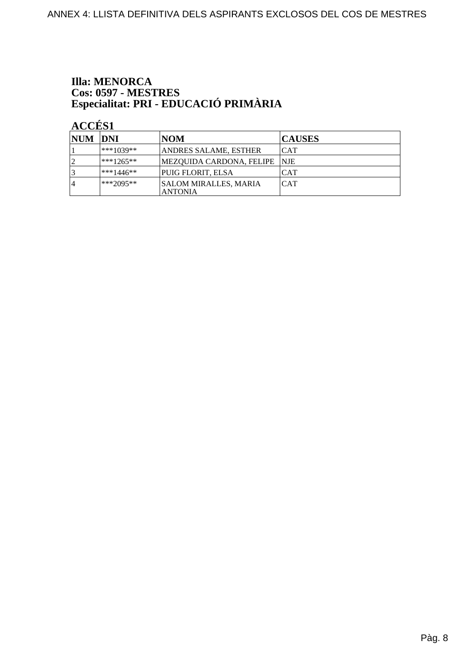# **Illa: MENORCA** Cos: 0597 - MESTRES<br>Especialitat: PRI - EDUCACIÓ PRIMÀRIA

| NUM DNI        |               | NOM                               | <b>CAUSES</b> |
|----------------|---------------|-----------------------------------|---------------|
|                | ***1039**     | <b>ANDRES SALAME, ESTHER</b>      | CAT           |
|                | $***1265**$   | MEZOUIDA CARDONA, FELIPE  NJE     |               |
|                | $ ***1446***$ | PUIG FLORIT, ELSA                 | <b>CAT</b>    |
| $\overline{4}$ | $ ***2095**$  | SALOM MIRALLES, MARIA<br>'ANTONIA | <b>CAT</b>    |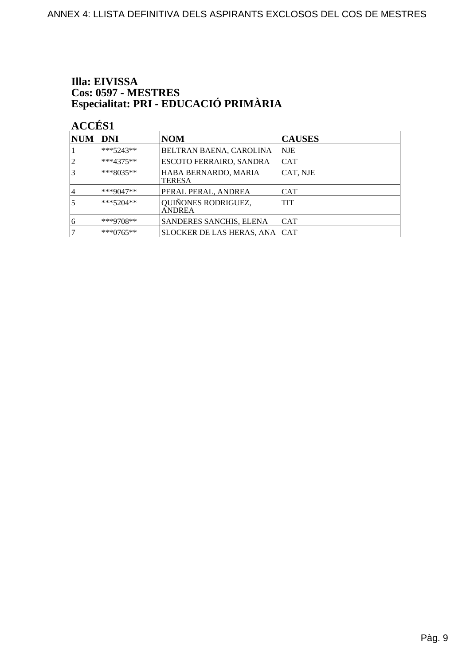# Illa: EIVISSA Cos: 0597 - MESTRES<br>Especialitat: PRI - EDUCACIÓ PRIMÀRIA

| <b>NUM</b> | DNI         | <b>NOM</b>                            | <b>CAUSES</b> |
|------------|-------------|---------------------------------------|---------------|
|            | $***5243**$ | BELTRAN BAENA, CAROLINA               | <b>NJE</b>    |
|            | ***4375**   | <b>ESCOTO FERRAIRO, SANDRA</b>        | <b>CAT</b>    |
| 3          | $***8035**$ | HABA BERNARDO, MARIA<br><b>TERESA</b> | CAT. NJE      |
| 4          | ***9047**   | PERAL PERAL, ANDREA                   | <b>CAT</b>    |
| 5          | $***5204**$ | QUIÑONES RODRIGUEZ,<br><b>ANDREA</b>  | <b>TIT</b>    |
| 16         | $***9708**$ | SANDERES SANCHIS, ELENA               | ICAT          |
|            | $***0765**$ | SLOCKER DE LAS HERAS, ANA CAT         |               |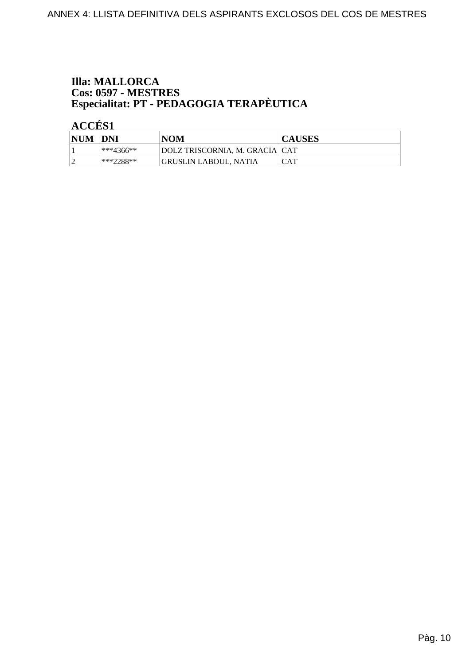# **Illa: MALLORCA** Cos: 0597 - MESTRES<br>Especialitat: PT - PEDAGOGIA TERAPÈUTICA

| <b>NUM</b> | <b>DNI</b>    | <b>NOM</b>                     | <b>CAUSES</b> |
|------------|---------------|--------------------------------|---------------|
|            | $ ***4366***$ | DOLZ TRISCORNIA, M. GRACIA CAT |               |
|            | $**2288**$    | GRUSLIN LABOUL, NATIA          | CAT           |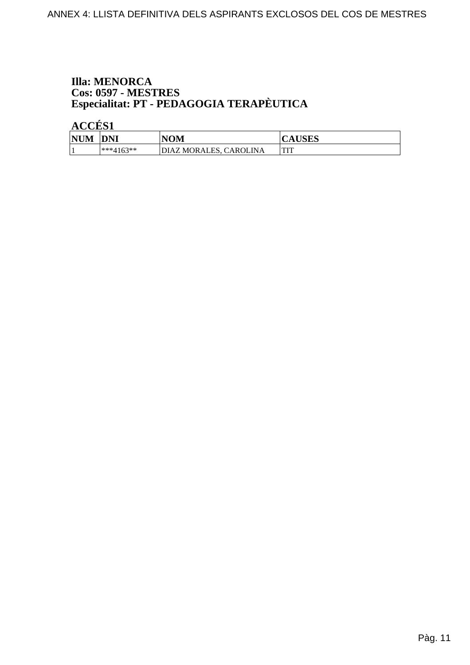# **Illa: MENORCA Cos: 0597 - MESTRES<br>Especialitat: PT - PEDAGOGIA TERAPÈUTICA**

| <b>NUM</b> | <b>DNI</b>   | <b>NOM</b>             | <b>CAUSES</b>  |
|------------|--------------|------------------------|----------------|
|            | $*$ **4163** | DIAZ MORALES, CAROLINA | <b>THT</b><br> |